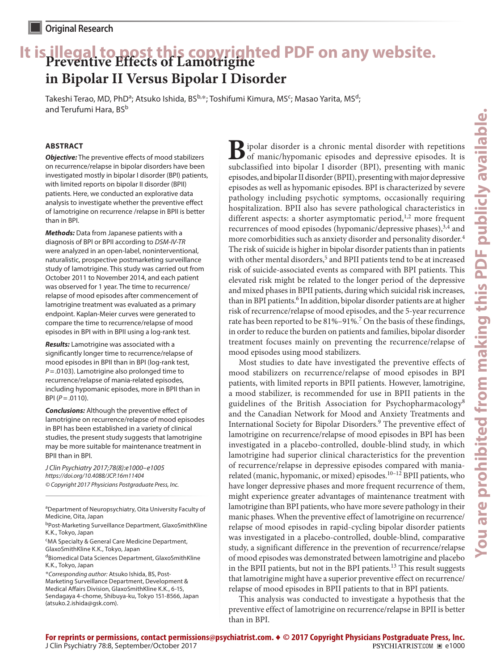# **It is illegal to post this copyrighted PDF on any website. Preventive Effects of Lamotrigine in Bipolar II Versus Bipolar I Disorder**

Takeshi Terao, MD, PhD<sup>a</sup>; Atsuko Ishida, BS<sup>b,</sup>\*; Toshifumi Kimura, MS<sup>c</sup>; Masao Yarita, MS<sup>d</sup>; and Terufumi Hara, BS<sup>b</sup>

# **ABSTRACT**

*Objective:* The preventive effects of mood stabilizers on recurrence/relapse in bipolar disorders have been investigated mostly in bipolar I disorder (BPI) patients, with limited reports on bipolar II disorder (BPII) patients. Here, we conducted an explorative data analysis to investigate whether the preventive effect of lamotrigine on recurrence /relapse in BPII is better than in BPI.

*Methods:* Data from Japanese patients with a diagnosis of BPI or BPII according to *DSM-IV-TR* were analyzed in an open-label, noninterventional, naturalistic, prospective postmarketing surveillance study of lamotrigine. This study was carried out from October 2011 to November 2014, and each patient was observed for 1 year. The time to recurrence/ relapse of mood episodes after commencement of lamotrigine treatment was evaluated as a primary endpoint. Kaplan-Meier curves were generated to compare the time to recurrence/relapse of mood episodes in BPI with in BPII using a log-rank test.

*Results:* Lamotrigine was associated with a significantly longer time to recurrence/relapse of mood episodes in BPII than in BPI (log-rank test, *P*=.0103). Lamotrigine also prolonged time to recurrence/relapse of mania-related episodes, including hypomanic episodes, more in BPII than in BPI (*P*=.0110).

*Conclusions:* Although the preventive effect of lamotrigine on recurrence/relapse of mood episodes in BPI has been established in a variety of clinical studies, the present study suggests that lamotrigine may be more suitable for maintenance treatment in BPII than in BPI.

*J Clin Psychiatry 2017;78(8):e1000–e1005 https://doi.org/10.4088/JCP.16m11404 © Copyright 2017 Physicians Postgraduate Press, Inc.*

aDepartment of Neuropsychiatry, Oita University Faculty of Medicine, Oita, Japan

- bPost-Marketing Surveillance Department, GlaxoSmithKline K.K., Tokyo, Japan
- <sup>c</sup>MA Specialty & General Care Medicine Department, GlaxoSmithKline K.K., Tokyo, Japan

dBiomedical Data Sciences Department, GlaxoSmithKline K.K., Tokyo, Japan

\**Corresponding author:* Atsuko Ishida, BS, Post-Marketing Surveillance Department, Development & Medical Affairs Division, GlaxoSmithKline K.K., 6-15, Sendagaya 4-chome, Shibuya-ku, Tokyo 151-8566, Japan (atsuko.2.ishida@gsk.com).

**B**ipolar disorder is a chronic mental disorder with repetitions of manic/hypomanic episodes and depressive episodes. It is subcleasified into binolar I disorder (PDI) presenting with manic subclassified into bipolar I disorder (BPI), presenting with manic episodes, and bipolar II disorder (BPII), presenting with major depressive episodes as well as hypomanic episodes. BPI is characterized by severe pathology including psychotic symptoms, occasionally requiring hospitalization. BPII also has severe pathological characteristics in different aspects: a shorter asymptomatic period, $^{1,2}$  more frequent recurrences of mood episodes (hypomanic/depressive phases), $3,4$  and more comorbidities such as anxiety disorder and personality disorder.<sup>4</sup> The risk of suicide is higher in bipolar disorder patients than in patients with other mental disorders,<sup>5</sup> and BPII patients tend to be at increased risk of suicide-associated events as compared with BPI patients. This elevated risk might be related to the longer period of the depressive and mixed phases in BPII patients, during which suicidal risk increases, than in BPI patients.<sup>6</sup> In addition, bipolar disorder patients are at higher risk of recurrence/relapse of mood episodes, and the 5-year recurrence rate has been reported to be 81%-91%.<sup>7</sup> On the basis of these findings, in order to reduce the burden on patients and families, bipolar disorder treatment focuses mainly on preventing the recurrence/relapse of mood episodes using mood stabilizers.

Most studies to date have investigated the preventive effects of mood stabilizers on recurrence/relapse of mood episodes in BPI patients, with limited reports in BPII patients. However, lamotrigine, a mood stabilizer, is recommended for use in BPII patients in the guidelines of the British Association for Psychopharmacology<sup>8</sup> and the Canadian Network for Mood and Anxiety Treatments and International Society for Bipolar Disorders.<sup>9</sup> The preventive effect of lamotrigine on recurrence/relapse of mood episodes in BPI has been investigated in a placebo-controlled, double-blind study, in which lamotrigine had superior clinical characteristics for the prevention of recurrence/relapse in depressive episodes compared with maniarelated (manic, hypomanic, or mixed) episodes.<sup>10-12</sup> BPII patients, who have longer depressive phases and more frequent recurrence of them, might experience greater advantages of maintenance treatment with lamotrigine than BPI patients, who have more severe pathology in their manic phases. When the preventive effect of lamotrigine on recurrence/ relapse of mood episodes in rapid-cycling bipolar disorder patients was investigated in a placebo-controlled, double-blind, comparative study, a significant difference in the prevention of recurrence/relapse of mood episodes was demonstrated between lamotrigine and placebo in the BPII patients, but not in the BPI patients.<sup>13</sup> This result suggests that lamotrigine might have a superior preventive effect on recurrence/ relapse of mood episodes in BPII patients to that in BPI patients.

This analysis was conducted to investigate a hypothesis that the preventive effect of lamotrigine on recurrence/relapse in BPII is better than in BPI.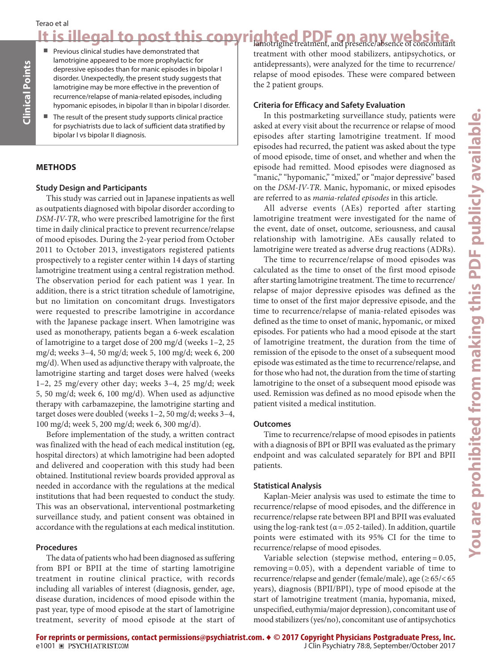# Terao et al

It is illegal to post this copyrighted PDF on any website.

- Previous clinical studies have demonstrated that lamotrigine appeared to be more prophylactic for depressive episodes than for manic episodes in bipolar I disorder. Unexpectedly, the present study suggests that lamotrigine may be more effective in the prevention of recurrence/relapse of mania-related episodes, including hypomanic episodes, in bipolar II than in bipolar I disorder.
- The result of the present study supports clinical practice for psychiatrists due to lack of sufficient data stratified by bipolar I vs bipolar II diagnosis.

## **METHODS**

**Clinical Points**

inical Points

### **Study Design and Participants**

This study was carried out in Japanese inpatients as well as outpatients diagnosed with bipolar disorder according to *DSM-IV-TR*, who were prescribed lamotrigine for the first time in daily clinical practice to prevent recurrence/relapse of mood episodes. During the 2-year period from October 2011 to October 2013, investigators registered patients prospectively to a register center within 14 days of starting lamotrigine treatment using a central registration method. The observation period for each patient was 1 year. In addition, there is a strict titration schedule of lamotrigine, but no limitation on concomitant drugs. Investigators were requested to prescribe lamotrigine in accordance with the Japanese package insert. When lamotrigine was used as monotherapy, patients began a 6-week escalation of lamotrigine to a target dose of 200 mg/d (weeks 1–2, 25 mg/d; weeks 3–4, 50 mg/d; week 5, 100 mg/d; week 6, 200 mg/d). When used as adjunctive therapy with valproate, the lamotrigine starting and target doses were halved (weeks 1–2, 25 mg/every other day; weeks 3–4, 25 mg/d; week 5, 50 mg/d; week 6, 100 mg/d). When used as adjunctive therapy with carbamazepine, the lamotrigine starting and target doses were doubled (weeks 1–2, 50 mg/d; weeks 3–4, 100 mg/d; week 5, 200 mg/d; week 6, 300 mg/d).

Before implementation of the study, a written contract was finalized with the head of each medical institution (eg, hospital directors) at which lamotrigine had been adopted and delivered and cooperation with this study had been obtained. Institutional review boards provided approval as needed in accordance with the regulations at the medical institutions that had been requested to conduct the study. This was an observational, interventional postmarketing surveillance study, and patient consent was obtained in accordance with the regulations at each medical institution.

## **Procedures**

The data of patients who had been diagnosed as suffering from BPI or BPII at the time of starting lamotrigine treatment in routine clinical practice, with records including all variables of interest (diagnosis, gender, age, disease duration, incidences of mood episode within the past year, type of mood episode at the start of lamotrigine treatment, severity of mood episode at the start of treatment with other mood stabilizers, antipsychotics, or antidepressants), were analyzed for the time to recurrence/ relapse of mood episodes. These were compared between the 2 patient groups.

### **Criteria for Efficacy and Safety Evaluation**

In this postmarketing surveillance study, patients were asked at every visit about the recurrence or relapse of mood episodes after starting lamotrigine treatment. If mood episodes had recurred, the patient was asked about the type of mood episode, time of onset, and whether and when the episode had remitted. Mood episodes were diagnosed as "manic," "hypomanic," "mixed," or "major depressive" based on the *DSM-IV-TR*. Manic, hypomanic, or mixed episodes are referred to as *mania-related episodes* in this article.

All adverse events (AEs) reported after starting lamotrigine treatment were investigated for the name of the event, date of onset, outcome, seriousness, and causal relationship with lamotrigine. AEs causally related to lamotrigine were treated as adverse drug reactions (ADRs).

The time to recurrence/relapse of mood episodes was calculated as the time to onset of the first mood episode after starting lamotrigine treatment. The time to recurrence/ relapse of major depressive episodes was defined as the time to onset of the first major depressive episode, and the time to recurrence/relapse of mania-related episodes was defined as the time to onset of manic, hypomanic, or mixed episodes. For patients who had a mood episode at the start of lamotrigine treatment, the duration from the time of remission of the episode to the onset of a subsequent mood episode was estimated as the time to recurrence/relapse, and for those who had not, the duration from the time of starting lamotrigine to the onset of a subsequent mood episode was used. Remission was defined as no mood episode when the patient visited a medical institution.

### **Outcomes**

Time to recurrence/relapse of mood episodes in patients with a diagnosis of BPI or BPII was evaluated as the primary endpoint and was calculated separately for BPI and BPII patients.

### **Statistical Analysis**

Kaplan-Meier analysis was used to estimate the time to recurrence/relapse of mood episodes, and the difference in recurrence/relapse rate between BPI and BPII was evaluated using the log-rank test ( $\alpha$  = .05 2-tailed). In addition, quartile points were estimated with its 95% CI for the time to recurrence/relapse of mood episodes.

Variable selection (stepwise method, entering = 0.05, removing = 0.05), with a dependent variable of time to recurrence/relapse and gender (female/male), age (≥65/<65 years), diagnosis (BPII/BPI), type of mood episode at the start of lamotrigine treatment (mania, hypomania, mixed, unspecified, euthymia/major depression), concomitant use of mood stabilizers (yes/no), concomitant use of antipsychotics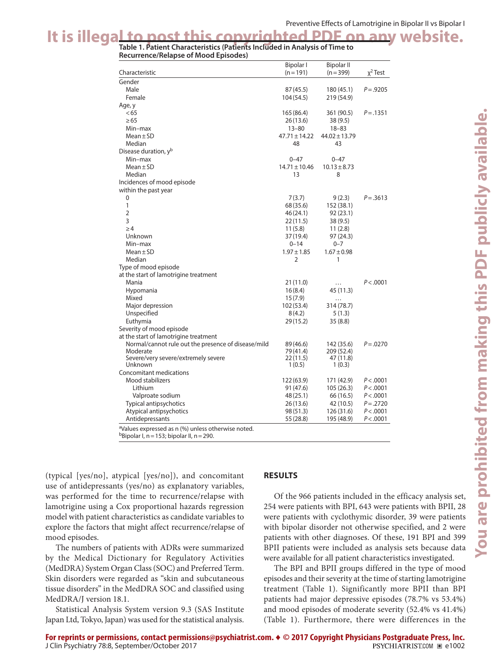# It is illegal to post this copyrighted PDF on any website.

**Recurrence/Relapse of Mood Episodes)**

|                                                                | <b>Bipolar I</b>       | <b>Bipolar II</b>       |              |
|----------------------------------------------------------------|------------------------|-------------------------|--------------|
| Characteristic                                                 | $(n = 191)$            | $(n=399)$               | $x^2$ Test   |
| Gender                                                         |                        |                         |              |
| Male                                                           | 87 (45.5)              | 180 (45.1)              | $P = .9205$  |
| Female                                                         | 104 (54.5)             | 219 (54.9)              |              |
| Age, y                                                         |                        |                         |              |
| < 65                                                           | 165 (86.4)             | 361 (90.5)              | $P = .1351$  |
| $\geq 65$                                                      | 26(13.6)               | 38(9.5)                 |              |
| Min-max                                                        | $13 - 80$              | $18 - 83$               |              |
| $Mean \pm SD$                                                  | $47.71 \pm 14.22$      | $44.02 \pm 13.79$       |              |
| Median                                                         | 48                     | 43                      |              |
| Disease duration, y <sup>b</sup>                               |                        |                         |              |
| Min-max                                                        | $0 - 47$               | $0 - 47$                |              |
| $Mean \pm SD$                                                  | $14.71 \pm 10.46$      | $10.13 \pm 8.73$        |              |
| Median                                                         | 13                     | 8                       |              |
| Incidences of mood episode                                     |                        |                         |              |
| within the past year                                           |                        |                         |              |
| 0                                                              | 7(3.7)                 | 9(2.3)                  | $P = 0.3613$ |
| $\mathbf{1}$                                                   | 68 (35.6)              | 152 (38.1)              |              |
| $\overline{2}$                                                 | 46 (24.1)              | 92 (23.1)               |              |
| 3                                                              | 22 (11.5)              | 38(9.5)                 |              |
| $\geq$ 4                                                       | 11(5.8)                | 11(2.8)                 |              |
| Unknown                                                        | 37 (19.4)              | 97 (24.3)               |              |
| Min-max                                                        | $0 - 14$               | $0 - 7$                 |              |
| $Mean \pm SD$                                                  | $1.97 \pm 1.85$        | $1.67 \pm 0.98$         |              |
| Median                                                         | 2                      | 1                       |              |
| Type of mood episode                                           |                        |                         |              |
| at the start of lamotrigine treatment                          |                        |                         |              |
| Mania                                                          | 21 (11.0)              | .                       | P < .0001    |
| Hypomania                                                      | 16(8.4)                | 45 (11.3)               |              |
| Mixed                                                          | 15(7.9)                | .                       |              |
| Major depression                                               | 102 (53.4)             | 314 (78.7)              |              |
| Unspecified                                                    | 8(4.2)                 | 5(1.3)                  |              |
| Euthymia                                                       | 29 (15.2)              | 35(8.8)                 |              |
| Severity of mood episode                                       |                        |                         |              |
| at the start of lamotrigine treatment                          |                        |                         |              |
| Normal/cannot rule out the presence of disease/mild            | 89 (46.6)              | 142 (35.6)              | $P = 0.0270$ |
| Moderate<br>Severe/very severe/extremely severe                | 79 (41.4)<br>22 (11.5) | 209 (52.4)<br>47 (11.8) |              |
| Unknown                                                        | 1(0.5)                 | 1(0.3)                  |              |
| Concomitant medications                                        |                        |                         |              |
| Mood stabilizers                                               | 122 (63.9)             | 171 (42.9)              | P < .0001    |
| Lithium                                                        | 91 (47.6)              | 105(26.3)               | P < .0001    |
| Valproate sodium                                               | 48 (25.1)              | 66 (16.5)               | P < .0001    |
| Typical antipsychotics                                         | 26 (13.6)              | 42 (10.5)               | $P = .2720$  |
| Atypical antipsychotics                                        | 98 (51.3)              | 126 (31.6)              | P < .0001    |
| Antidepressants                                                | 55 (28.8)              | 195 (48.9)              | P < .0001    |
| <sup>a</sup> Values expressed as n (%) unless otherwise noted. |                        |                         |              |
|                                                                |                        |                         |              |

 $b$ Bipolar I, n = 153; bipolar II, n = 290.

(typical [yes/no], atypical [yes/no]), and concomitant use of antidepressants (yes/no) as explanatory variables, was performed for the time to recurrence/relapse with lamotrigine using a Cox proportional hazards regression model with patient characteristics as candidate variables to explore the factors that might affect recurrence/relapse of mood episodes.

The numbers of patients with ADRs were summarized by the Medical Dictionary for Regulatory Activities (MedDRA) System Organ Class (SOC) and Preferred Term. Skin disorders were regarded as "skin and subcutaneous tissue disorders" in the MedDRA SOC and classified using MedDRA/J version 18.1.

Statistical Analysis System version 9.3 (SAS Institute Japan Ltd, Tokyo, Japan) was used for the statistical analysis.

# **RESULTS**

Of the 966 patients included in the efficacy analysis set, 254 were patients with BPI, 643 were patients with BPII, 28 were patients with cyclothymic disorder, 39 were patients with bipolar disorder not otherwise specified, and 2 were patients with other diagnoses. Of these, 191 BPI and 399 BPII patients were included as analysis sets because data were available for all patient characteristics investigated.

The BPI and BPII groups differed in the type of mood episodes and their severity at the time of starting lamotrigine treatment (Table 1). Significantly more BPII than BPI patients had major depressive episodes (78.7% vs 53.4%) and mood episodes of moderate severity (52.4% vs 41.4%) (Table 1). Furthermore, there were differences in the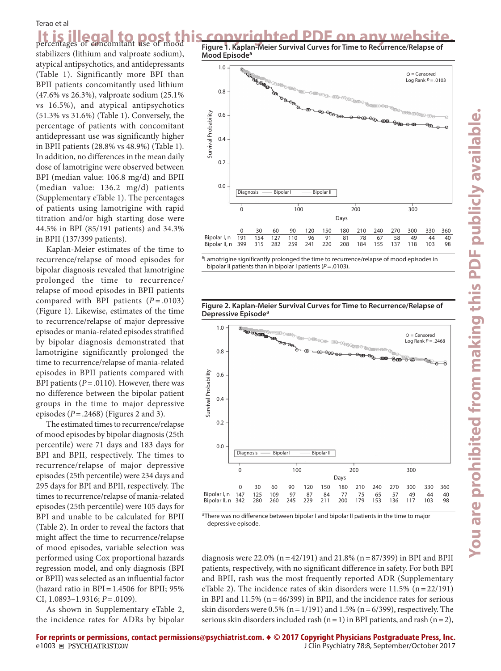#### Terao et al

It is illegal to post this copyrighted PDF on any website. stabilizers (lithium and valproate sodium), atypical antipsychotics, and antidepressants (Table 1). Significantly more BPI than BPII patients concomitantly used lithium (47.6% vs 26.3%), valproate sodium (25.1% vs 16.5%), and atypical antipsychotics (51.3% vs 31.6%) (Table 1). Conversely, the percentage of patients with concomitant antidepressant use was significantly higher in BPII patients (28.8% vs 48.9%) (Table 1). In addition, no differences in the mean daily

dose of lamotrigine were observed between BPI (median value: 106.8 mg/d) and BPII (median value: 136.2 mg/d) patients (Supplementary eTable 1). The percentages of patients using lamotrigine with rapid titration and/or high starting dose were 44.5% in BPI (85/191 patients) and 34.3% in BPII (137/399 patients).

Kaplan-Meier estimates of the time to recurrence/relapse of mood episodes for bipolar diagnosis revealed that lamotrigine prolonged the time to recurrence/ relapse of mood episodes in BPII patients compared with BPI patients (*P* = .0103) (Figure 1). Likewise, estimates of the time to recurrence/relapse of major depressive episodes or mania-related episodes stratified by bipolar diagnosis demonstrated that lamotrigine significantly prolonged the time to recurrence/relapse of mania-related episodes in BPII patients compared with BPI patients (*P*=.0110). However, there was no difference between the bipolar patient groups in the time to major depressive episodes (*P*=.2468) (Figures 2 and 3).

The estimated times to recurrence/relapse of mood episodes by bipolar diagnosis (25th percentile) were 71 days and 183 days for BPI and BPII, respectively. The times to recurrence/relapse of major depressive episodes (25th percentile) were 234 days and 295 days for BPI and BPII, respectively. The times to recurrence/relapse of mania-related episodes (25th percentile) were 105 days for BPI and unable to be calculated for BPII (Table 2). In order to reveal the factors that might affect the time to recurrence/relapse of mood episodes, variable selection was performed using Cox proportional hazards regression model, and only diagnosis (BPI or BPII) was selected as an influential factor (hazard ratio in  $BPI = 1.4506$  for BPII; 95% CI, 1.0893–1.9316; *P*=.0109).

As shown in Supplementary eTable 2, the incidence rates for ADRs by bipolar **Figure 1. Kaplan-Meier Survival Curves for Time to Recurrence/Relapse of Mood Episodea**



<sup>a</sup>Lamotrigine significantly prolonged the time to recurrence/relapse of mood episodes in bipolar II patients than in bipolar I patients (*P*=.0103).





<sup>&</sup>lt;sup>a</sup>There was no difference between bipolar I and bipolar II patients in the time to major depressive episode.

diagnosis were 22.0% ( $n=42/191$ ) and 21.8% ( $n=87/399$ ) in BPI and BPII patients, respectively, with no significant difference in safety. For both BPI and BPII, rash was the most frequently reported ADR (Supplementary eTable 2). The incidence rates of skin disorders were 11.5% (n=22/191) in BPI and  $11.5\%$  (n=46/399) in BPII, and the incidence rates for serious skin disorders were  $0.5\%$  (n = 1/191) and  $1.5\%$  (n = 6/399), respectively. The serious skin disorders included rash ( $n=1$ ) in BPI patients, and rash ( $n=2$ ),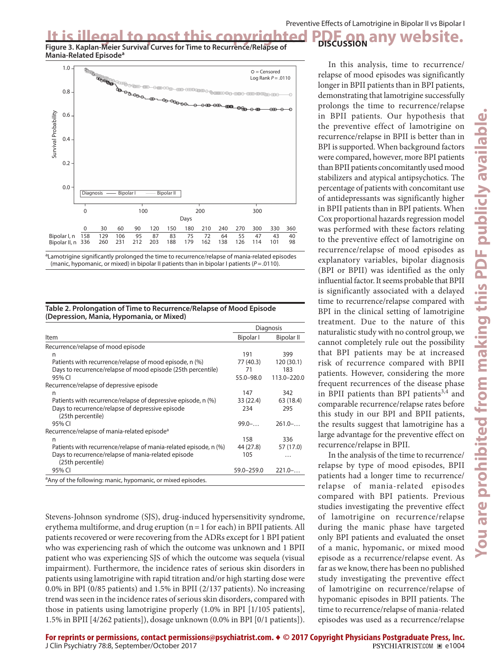**DISCUSSION**

It is illegal to post this copyrighted PDF on any website.<br>Figure 3. Kaplan-Meier Survival Curves for Time to Recurrence/Relapse of **DISCUSSION** any website. **Mania-Related Episodea**



<sup>&</sup>lt;sup>a</sup>Lamotrigine significantly prolonged the time to recurrence/relapse of mania-related episodes (manic, hypomanic, or mixed) in bipolar II patients than in bipolar I patients (*P*=.0110).

| Table 2. Prolongation of Time to Recurrence/Relapse of Mood Episode |  |
|---------------------------------------------------------------------|--|
| (Depression, Mania, Hypomania, or Mixed)                            |  |

|                                                                          | Diagnosis  |             |  |
|--------------------------------------------------------------------------|------------|-------------|--|
| <b>Item</b>                                                              | Bipolar I  | Bipolar II  |  |
| Recurrence/relapse of mood episode                                       |            |             |  |
| n                                                                        | 191        | 399         |  |
| Patients with recurrence/relapse of mood episode, n (%)                  | 77 (40.3)  | 120 (30.1)  |  |
| Days to recurrence/relapse of mood episode (25th percentile)             | 71         | 183         |  |
| 95% CI                                                                   | 55.0-98.0  | 113.0-220.0 |  |
| Recurrence/relapse of depressive episode                                 |            |             |  |
| n                                                                        | 147        | 342         |  |
| Patients with recurrence/relapse of depressive episode, n (%)            | 33 (22.4)  | 63 (18.4)   |  |
| Days to recurrence/relapse of depressive episode<br>(25th percentile)    | 234        | 295         |  |
| 95% CI                                                                   | $99.0-$    | $261.0-.$   |  |
| Recurrence/relapse of mania-related episode <sup>a</sup>                 |            |             |  |
| n                                                                        | 158        | 336         |  |
| Patients with recurrence/relapse of mania-related episode, n (%)         | 44 (27.8)  | 57 (17.0)   |  |
| Days to recurrence/relapse of mania-related episode<br>(25th percentile) | 105        | .           |  |
| 95% CI                                                                   | 59.0-259.0 | $221.0-.$   |  |
| <sup>a</sup> Any of the following: manic, hypomanic, or mixed episodes.  |            |             |  |

Stevens-Johnson syndrome (SJS), drug-induced hypersensitivity syndrome, erythema multiforme, and drug eruption  $(n=1$  for each) in BPII patients. All patients recovered or were recovering from the ADRs except for 1 BPI patient who was experiencing rash of which the outcome was unknown and 1 BPII patient who was experiencing SJS of which the outcome was sequela (visual impairment). Furthermore, the incidence rates of serious skin disorders in patients using lamotrigine with rapid titration and/or high starting dose were 0.0% in BPI (0/85 patients) and 1.5% in BPII (2/137 patients). No increasing trend was seen in the incidence rates of serious skin disorders, compared with those in patients using lamotrigine properly (1.0% in BPI [1/105 patients], 1.5% in BPII [4/262 patients]), dosage unknown (0.0% in BPI [0/1 patients]).

In this analysis, time to recurrence/ relapse of mood episodes was significantly longer in BPII patients than in BPI patients, demonstrating that lamotrigine successfully prolongs the time to recurrence/relapse in BPII patients. Our hypothesis that the preventive effect of lamotrigine on recurrence/relapse in BPII is better than in BPI is supported. When background factors were compared, however, more BPI patients than BPII patients concomitantly used mood stabilizers and atypical antipsychotics. The percentage of patients with concomitant use of antidepressants was significantly higher in BPII patients than in BPI patients. When Cox proportional hazards regression model was performed with these factors relating to the preventive effect of lamotrigine on recurrence/relapse of mood episodes as explanatory variables, bipolar diagnosis (BPI or BPII) was identified as the only influential factor. It seems probable that BPII is significantly associated with a delayed time to recurrence/relapse compared with BPI in the clinical setting of lamotrigine treatment. Due to the nature of this naturalistic study with no control group, we cannot completely rule out the possibility that BPI patients may be at increased risk of recurrence compared with BPII patients. However, considering the more frequent recurrences of the disease phase in BPII patients than BPI patients $3,4$  and comparable recurrence/relapse rates before this study in our BPI and BPII patients, the results suggest that lamotrigine has a large advantage for the preventive effect on recurrence/relapse in BPII.

In the analysis of the time to recurrence/ relapse by type of mood episodes, BPII patients had a longer time to recurrence/ relapse of mania-related episodes compared with BPI patients. Previous studies investigating the preventive effect of lamotrigine on recurrence/relapse during the manic phase have targeted only BPI patients and evaluated the onset of a manic, hypomanic, or mixed mood episode as a recurrence/relapse event. As far as we know, there has been no published study investigating the preventive effect of lamotrigine on recurrence/relapse of hypomanic episodes in BPII patients. The time to recurrence/relapse of mania-related episodes was used as a recurrence/relapse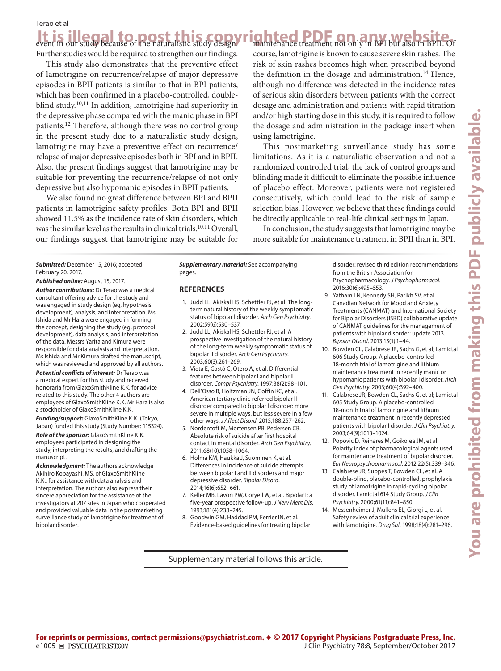## Terao et al

It is illegal to post this copyrighted PDF on any website.<br>event in our study because of the naturalistic study design. **Thaintenance treatment not only in BPI** but also in BPII. Of **Legal to post this copy** 

Further studies would be required to strengthen our findings.

This study also demonstrates that the preventive effect of lamotrigine on recurrence/relapse of major depressive episodes in BPII patients is similar to that in BPI patients, which has been confirmed in a placebo-controlled, doubleblind study.<sup>10,11</sup> In addition, lamotrigine had superiority in the depressive phase compared with the manic phase in BPI patients.12 Therefore, although there was no control group in the present study due to a naturalistic study design, lamotrigine may have a preventive effect on recurrence/ relapse of major depressive episodes both in BPI and in BPII. Also, the present findings suggest that lamotrigine may be suitable for preventing the recurrence/relapse of not only depressive but also hypomanic episodes in BPII patients.

We also found no great difference between BPI and BPII patients in lamotrigine safety profiles. Both BPI and BPII showed 11.5% as the incidence rate of skin disorders, which was the similar level as the results in clinical trials.<sup>10,11</sup> Overall, our findings suggest that lamotrigine may be suitable for course, lamotrigine is known to cause severe skin rashes. The risk of skin rashes becomes high when prescribed beyond the definition in the dosage and administration.<sup>14</sup> Hence, although no difference was detected in the incidence rates of serious skin disorders between patients with the correct dosage and administration and patients with rapid titration and/or high starting dose in this study, it is required to follow the dosage and administration in the package insert when using lamotrigine.

This postmarketing surveillance study has some limitations. As it is a naturalistic observation and not a randomized controlled trial, the lack of control groups and blinding made it difficult to eliminate the possible influence of placebo effect. Moreover, patients were not registered consecutively, which could lead to the risk of sample selection bias. However, we believe that these findings could be directly applicable to real-life clinical settings in Japan.

In conclusion, the study suggests that lamotrigine may be more suitable for maintenance treatment in BPII than in BPI.

*Submitted:* December 15, 2016; accepted February 20, 2017.

*Published online:* August 15, 2017.

*Author contributions:* Dr Terao was a medical consultant offering advice for the study and was engaged in study design (eg, hypothesis development), analysis, and interpretation. Ms Ishida and Mr Hara were engaged in forming the concept, designing the study (eg, protocol development), data analysis, and interpretation of the data. Messrs Yarita and Kimura were responsible for data analysis and interpretation. Ms Ishida and Mr Kimura drafted the manuscript, which was reviewed and approved by all authors.

*Potential conflicts of interest:* Dr Terao was a medical expert for this study and received honoraria from GlaxoSmithKline K.K. for advice related to this study. The other 4 authors are employees of GlaxoSmithKline K.K. Mr Hara is also a stockholder of GlaxoSmithKline K.K.

*Funding/support:* GlaxoSmithKline K.K. (Tokyo, Japan) funded this study (Study Number: 115324).

*Role of the sponsor:* GlaxoSmithKline K.K. employees participated in designing the study, interpreting the results, and drafting the manuscript.

*Acknowledgment:* The authors acknowledge Akihiro Kobayashi, MS, of GlaxoSmithKline K.K., for assistance with data analysis and interpretation. The authors also express their sincere appreciation for the assistance of the investigators at 207 sites in Japan who cooperated and provided valuable data in the postmarketing surveillance study of lamotrigine for treatment of bipolar disorder.

*Supplementary material:* See accompanying pages.

### **REFERENCES**

- 1. Judd LL, Akiskal HS, Schettler PJ, et al. The longterm natural history of the weekly symptomatic status of bipolar I disorder. *Arch Gen Psychiatry*. 2002;59(6):530-537.
- 2. Judd LL, Akiskal HS, Schettler PJ, et al. A prospective investigation of the natural history of the long-term weekly symptomatic status of bipolar II disorder. *A[r](http://dx.doi.org/10.1001/archpsyc.60.3.261)ch Gen Psychiatry*. 2003;60(3):261-269.
- 3. Vieta E, Gastó C, Otero A, et al. Differential features between bipolar I and bipolar II disorder. Compr Psychiatry. 1997;38(2):98-101.
- 4. Dell'Osso B, Holtzman JN, Goffin KC, et al. American tertiary clinic-referred bipolar II disorder compared to bipolar I disorder: more severe in multiple ways, but less severe in a few other ways. *J Affect Disord*. 2015;188:257-262.
- 5. Nordentoft M, Mortensen PB, Pedersen CB. Absolute risk of suicide after first hospital contact in mental disorder. *Arch Gen Psychiatry*. 2011;68(10):1058-1064.
- 6. Holma KM, Haukka J, Suominen K, et al. Differences in incidence of suicide attempts between bipolar I and II disorders and major depressive disorder. *Bipolar Disord*. 2014;16(6):652-661.
- 7. Keller MB, Lavori PW, Coryell W, et al. Bipolar I: a five-year prospective follow-up. *J Nerv Ment Dis*. 1993;181(4):238-245.
- 8. Goodwin GM, Haddad PM, Ferrier IN, et al. Evidence-based guidelines for treating bipolar

Supplementary material follows this article.

disorder: revised third edition recommendations from the British Association for Psychopharmacology. *J Psychopharmacol*. 2016:30(6):495-553.

- 9. Yatham LN, Kennedy SH, Parikh SV, et al. Canadian Network for Mood and Anxiety Treatments (CANMAT) and International Society for Bipolar Disorders (ISBD) collaborative update of CANMAT guidelines for the management of patients with bipolar disorder: update 2013. *Bipolar Disord.* 2013;15(1):1-44.
- 10. Bowden CL, Calabrese JR, Sachs G, et al; Lamictal 606 Study Group. A placebo-controlled 18-month trial of lamotrigine and lithium maintenance treatment in recently manic or hypomanic patients with bipolar I disorder. *Arch Gen Psychiatry.* 2003;60(4):392-400.
- 11. Calabrese JR, Bowden CL, Sachs G, et al; Lamictal 605 Study Group. A placebo-controlled 18-month trial of lamotrigine and lithium maintenance treatment in recently depressed patients with bipolar I disorder. *J Clin Psychiatry*. 2003:64(9):1013-1024.
- 12. Popovic D, Reinares M, Goikolea JM, et al. Polarity index of pharmacological agents used for maintenance treatment of bipolar disorder. Eur Neuropsychopharmacol. 2012;22(5):339-346.
- 13. Calabrese JR, Suppes T, Bowden CL, et al. A double-blind, placebo-controlled, prophylaxis study of lamotrigine in rapid-cycling bipolar disorder. Lamictal 614 Study Group. *J Clin Psychiatry.* 2000;61(11):841-850.
- 14. Messenheimer J, Mullens EL, Giorgi L, et al. Safety review of adult clinical trial experience with lamotrigine. *Drug Saf.* 1998;18(4):281-296.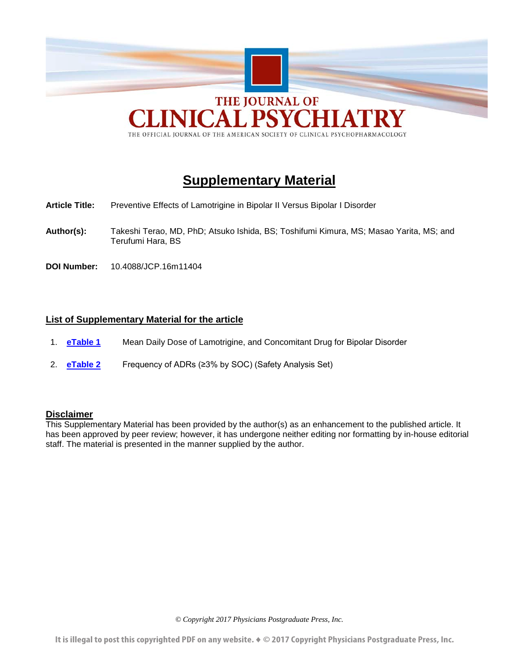

THE OFFICIAL JOURNAL OF THE AMERICAN SOCIETY OF CLINICAL PSYCHOPHARMACOLOGY

# **Supplementary Material**

- **Article Title:** Preventive Effects of Lamotrigine in Bipolar II Versus Bipolar I Disorder
- **Author(s):** Takeshi Terao, MD, PhD; Atsuko Ishida, BS; Toshifumi Kimura, MS; Masao Yarita, MS; and Terufumi Hara, BS
- **DOI Number:** 10.4088/JCP.16m11404

# **List of Supplementary Material for the article**

- 1. **[eTable 1](#page-7-0)** Mean Daily Dose of Lamotrigine, and Concomitant Drug for Bipolar Disorder
- 2. **[eTable 2](#page-8-0)** Frequency of ADRs (≥3% by SOC) (Safety Analysis Set)

# **Disclaimer**

This Supplementary Material has been provided by the author(s) as an enhancement to the published article. It has been approved by peer review; however, it has undergone neither editing nor formatting by in-house editorial staff. The material is presented in the manner supplied by the author.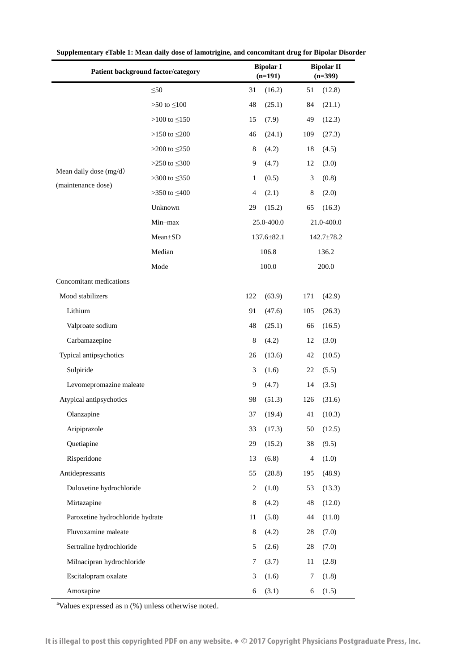|                                  | Patient background factor/category |     | <b>Bipolar I</b><br>$(n=191)$ |     | <b>Bipolar II</b><br>$(n=399)$ |  |
|----------------------------------|------------------------------------|-----|-------------------------------|-----|--------------------------------|--|
|                                  | $\leq 50$                          | 31  | (16.2)                        | 51  | (12.8)                         |  |
|                                  | $>50$ to $\leq100$                 | 48  | (25.1)                        | 84  | (21.1)                         |  |
|                                  | >100 to $\leq$ 150                 | 15  | (7.9)                         | 49  | (12.3)                         |  |
|                                  | >150 to $\leq$ 200                 | 46  | (24.1)                        | 109 | (27.3)                         |  |
|                                  | >200 to $\leq$ 250                 | 8   | (4.2)                         | 18  | (4.5)                          |  |
|                                  | >250 to $\leq 300$                 | 9   | (4.7)                         | 12  | (3.0)                          |  |
| Mean daily dose (mg/d)           | >300 to $\leq 350$                 | 1   | (0.5)                         | 3   | (0.8)                          |  |
| (maintenance dose)               | >350 to $\leq 400$                 | 4   | (2.1)                         | 8   | (2.0)                          |  |
|                                  | Unknown                            | 29  | (15.2)                        | 65  | (16.3)                         |  |
|                                  | Min-max                            |     | 25.0-400.0                    |     | 21.0-400.0                     |  |
|                                  | Mean±SD                            |     | $137.6 \pm 82.1$              |     | $142.7 \pm 78.2$               |  |
|                                  | Median                             |     | 106.8                         |     | 136.2                          |  |
|                                  | Mode                               |     | 100.0                         |     | 200.0                          |  |
| Concomitant medications          |                                    |     |                               |     |                                |  |
| Mood stabilizers                 |                                    | 122 | (63.9)                        | 171 | (42.9)                         |  |
| Lithium                          |                                    | 91  | (47.6)                        | 105 | (26.3)                         |  |
| Valproate sodium                 |                                    | 48  | (25.1)                        | 66  | (16.5)                         |  |
| Carbamazepine                    |                                    | 8   | (4.2)                         | 12  | (3.0)                          |  |
| Typical antipsychotics           |                                    | 26  | (13.6)                        | 42  | (10.5)                         |  |
| Sulpiride                        |                                    | 3   | (1.6)                         | 22  | (5.5)                          |  |
| Levomepromazine maleate          |                                    | 9   | (4.7)                         | 14  | (3.5)                          |  |
| Atypical antipsychotics          |                                    | 98  | (51.3)                        | 126 | (31.6)                         |  |
| Olanzapine                       |                                    | 37  | (19.4)                        | 41  | (10.3)                         |  |
| Aripiprazole                     |                                    | 33  | (17.3)                        | 50  | (12.5)                         |  |
| Quetiapine                       |                                    | 29  | (15.2)                        | 38  | (9.5)                          |  |
| Risperidone                      |                                    | 13  | (6.8)                         | 4   | (1.0)                          |  |
| Antidepressants                  |                                    | 55  | (28.8)                        | 195 | (48.9)                         |  |
| Duloxetine hydrochloride         |                                    | 2   | (1.0)                         | 53  | (13.3)                         |  |
| Mirtazapine                      |                                    | 8   | (4.2)                         | 48  | (12.0)                         |  |
| Paroxetine hydrochloride hydrate |                                    | 11  | (5.8)                         | 44  | (11.0)                         |  |
| Fluvoxamine maleate              |                                    | 8   | (4.2)                         | 28  | (7.0)                          |  |
| Sertraline hydrochloride         |                                    | 5   | (2.6)                         | 28  | (7.0)                          |  |
| Milnacipran hydrochloride        |                                    | 7   | (3.7)                         | 11  | (2.8)                          |  |
| Escitalopram oxalate             |                                    | 3   | (1.6)                         | 7   | (1.8)                          |  |
| Amoxapine                        |                                    | 6   | (3.1)                         | 6   | (1.5)                          |  |

<span id="page-7-0"></span>**Supplementary eTable 1: Mean daily dose of lamotrigine, and concomitant drug for Bipolar Disorder**

a Values expressed as n (%) unless otherwise noted.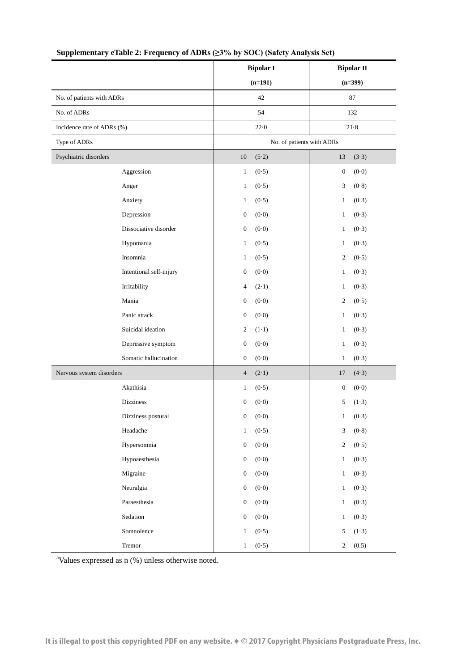|                            | <b>Bipolar I</b>          | <b>Bipolar II</b>         |  |
|----------------------------|---------------------------|---------------------------|--|
|                            | $(n=191)$                 | $(n=399)$                 |  |
| No. of patients with ADRs  | 42                        | $87\,$                    |  |
| No. of ADRs                | 54                        | 132                       |  |
| Incidence rate of ADRs (%) | 22.0                      | $21 - 8$                  |  |
| Type of ADRs               | No. of patients with ADRs |                           |  |
| Psychiatric disorders      | 10<br>(5.2)               | 13<br>(3.3)               |  |
| Aggression                 | $\mathbf{1}$<br>(0.5)     | (0.0)<br>$\boldsymbol{0}$ |  |
| Anger                      | (0.5)<br>$\mathbf{1}$     | 3<br>(0.8)                |  |
| Anxiety                    | (0.5)<br>$\mathbf{1}$     | (0.3)<br>$\mathbf{1}$     |  |
| Depression                 | (0.0)<br>$\boldsymbol{0}$ | (0.3)<br>1                |  |
| Dissociative disorder      | $\boldsymbol{0}$<br>(0.0) | (0.3)<br>1                |  |
| Hypomania                  | (0.5)<br>$\mathbf{1}$     | (0.3)<br>1                |  |
| Insomnia                   | (0.5)<br>$\mathbf{1}$     | $\boldsymbol{2}$<br>(0.5) |  |
| Intentional self-injury    | (0.0)<br>$\boldsymbol{0}$ | (0.3)<br>1                |  |
| Irritability               | (2.1)<br>4                | (0.3)<br>1                |  |
| Mania                      | (0.0)<br>$\boldsymbol{0}$ | $\mathfrak{2}$<br>(0.5)   |  |
| Panic attack               | (0.0)<br>$\boldsymbol{0}$ | (0.3)<br>1                |  |
| Suicidal ideation          | $\mathfrak{2}$<br>$(1-1)$ | (0.3)<br>$\mathbf{1}$     |  |
| Depressive symptom         | (0.0)<br>$\boldsymbol{0}$ | (0.3)<br>$\mathbf{1}$     |  |
| Somatic hallucination      | (0.0)<br>$\boldsymbol{0}$ | (0.3)<br>$\mathbf{1}$     |  |
| Nervous system disorders   | (2.1)<br>4                | (4.3)<br>17               |  |
| Akathisia                  | (0.5)<br>$\mathbf{1}$     | (0.0)<br>0                |  |
| <b>Dizziness</b>           | $\boldsymbol{0}$<br>(0.0) | 5<br>$(1-3)$              |  |
| Dizziness postural         | $(0.0)$<br>0              | $\mathbf{1}$<br>(0.3)     |  |
| Headache                   | (0.5)<br>$\mathbf{1}$     | 3<br>(0.8)                |  |
| Hypersomnia                | (0.0)<br>$\boldsymbol{0}$ | (0.5)<br>2                |  |
| Hypoaesthesia              | (0.0)<br>$\boldsymbol{0}$ | $\mathbf{1}$<br>(0.3)     |  |
| Migraine                   | (0.0)<br>$\boldsymbol{0}$ | (0.3)<br>$\mathbf{1}$     |  |
| Neuralgia                  | (0.0)<br>$\boldsymbol{0}$ | (0.3)<br>$\mathbf{1}$     |  |
| Paraesthesia               | (0.0)<br>$\boldsymbol{0}$ | (0.3)<br>$\mathbf{1}$     |  |
| Sedation                   | (0.0)<br>$\boldsymbol{0}$ | (0.3)<br>$\mathbf{1}$     |  |
| Somnolence                 | (0.5)<br>$\mathbf{1}$     | (1.3)<br>5                |  |
| Tremor                     | (0.5)<br>$\mathbf{1}$     | 2<br>(0.5)                |  |

# <span id="page-8-0"></span>**Supplementary eTable 2: Frequency of ADRs (≥3% by SOC) (Safety Analysis Set)**

a Values expressed as n (%) unless otherwise noted.